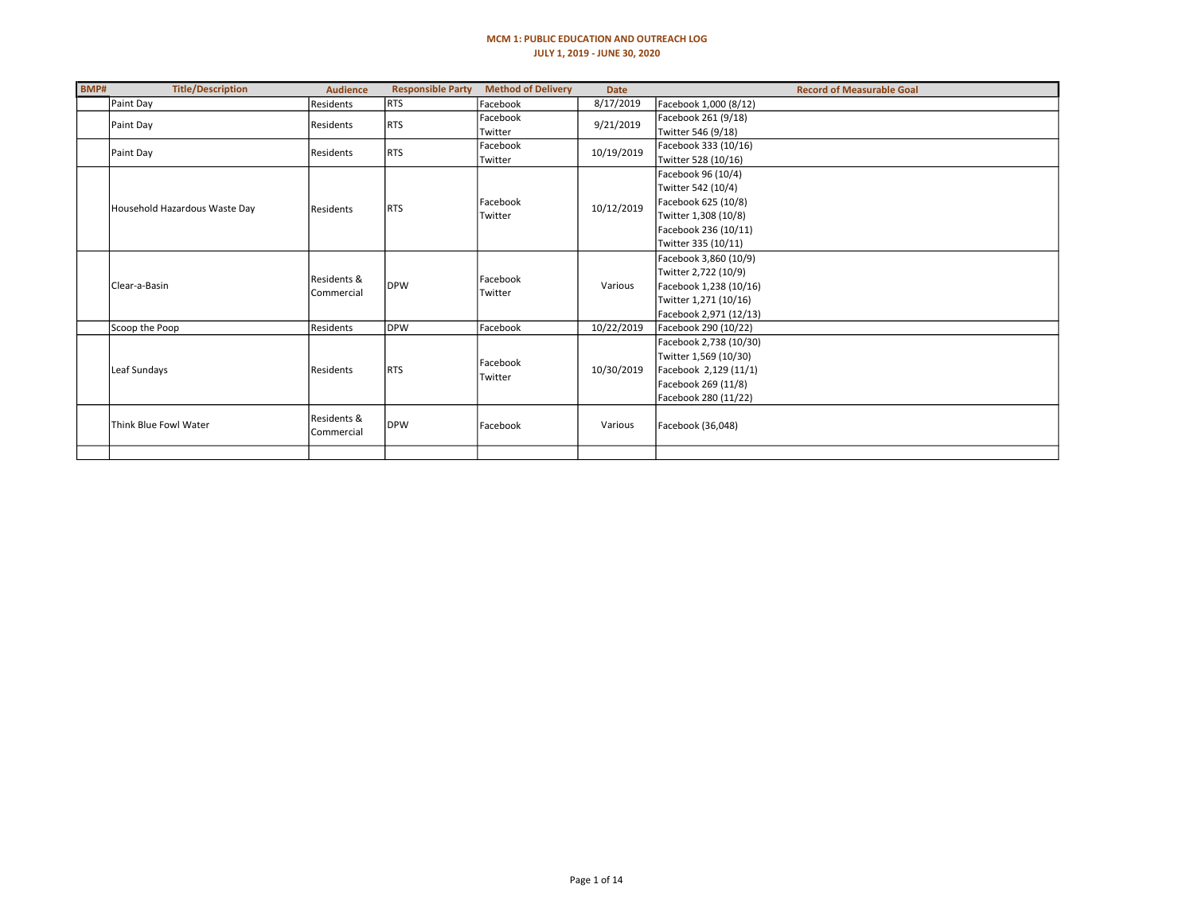#### MCM 1: PUBLIC EDUCATION AND OUTREACH LOG JULY 1, 2019 - JUNE 30, 2020

| BMP# | <b>Title/Description</b>      | <b>Audience</b>   | <b>Responsible Party</b> | <b>Method of Delivery</b> | <b>Date</b> | <b>Record of Measurable Goal</b> |
|------|-------------------------------|-------------------|--------------------------|---------------------------|-------------|----------------------------------|
|      | Paint Day                     | Residents         | <b>RTS</b>               | Facebook                  | 8/17/2019   | Facebook 1,000 (8/12)            |
|      | Paint Day                     | Residents         | <b>RTS</b>               | Facebook                  | 9/21/2019   | Facebook 261 (9/18)              |
|      |                               |                   |                          | Twitter                   |             | Twitter 546 (9/18)               |
|      | Paint Day                     | Residents         | <b>RTS</b>               | Facebook                  | 10/19/2019  | Facebook 333 (10/16)             |
|      |                               |                   |                          | Twitter                   |             | Twitter 528 (10/16)              |
|      |                               |                   |                          |                           |             | Facebook 96 (10/4)               |
|      |                               |                   |                          |                           |             | Twitter 542 (10/4)               |
|      | Household Hazardous Waste Day | Residents         | RTS                      | Facebook                  | 10/12/2019  | Facebook 625 (10/8)              |
|      |                               |                   |                          | Twitter                   |             | Twitter 1,308 (10/8)             |
|      |                               |                   |                          |                           |             | Facebook 236 (10/11)             |
|      |                               |                   |                          |                           |             | Twitter 335 (10/11)              |
|      |                               |                   |                          | Facebook<br>Twitter       | Various     | Facebook 3,860 (10/9)            |
|      |                               | Residents &       |                          |                           |             | Twitter 2,722 (10/9)             |
|      | l Clear-a-Basin               | <b>Commercial</b> | <b>IDPW</b>              |                           |             | Facebook 1,238 (10/16)           |
|      |                               |                   |                          |                           |             | Twitter 1,271 (10/16)            |
|      |                               |                   |                          |                           |             | Facebook 2,971 (12/13)           |
|      | Scoop the Poop                | Residents         | DPW                      | Facebook                  | 10/22/2019  | Facebook 290 (10/22)             |
|      |                               |                   |                          |                           |             | Facebook 2,738 (10/30)           |
|      |                               |                   |                          | Facebook                  |             | Twitter 1,569 (10/30)            |
|      | Leaf Sundays                  | Residents         | <b>RTS</b>               | Twitter                   | 10/30/2019  | Facebook 2,129 (11/1)            |
|      |                               |                   |                          |                           |             | Facebook 269 (11/8)              |
|      |                               |                   |                          |                           |             | Facebook 280 (11/22)             |
|      | Think Blue Fowl Water         | Residents &       | <b>IDPW</b>              | Facebook                  | Various     | Facebook (36,048)                |
|      |                               | Commercial        |                          |                           |             |                                  |
|      |                               |                   |                          |                           |             |                                  |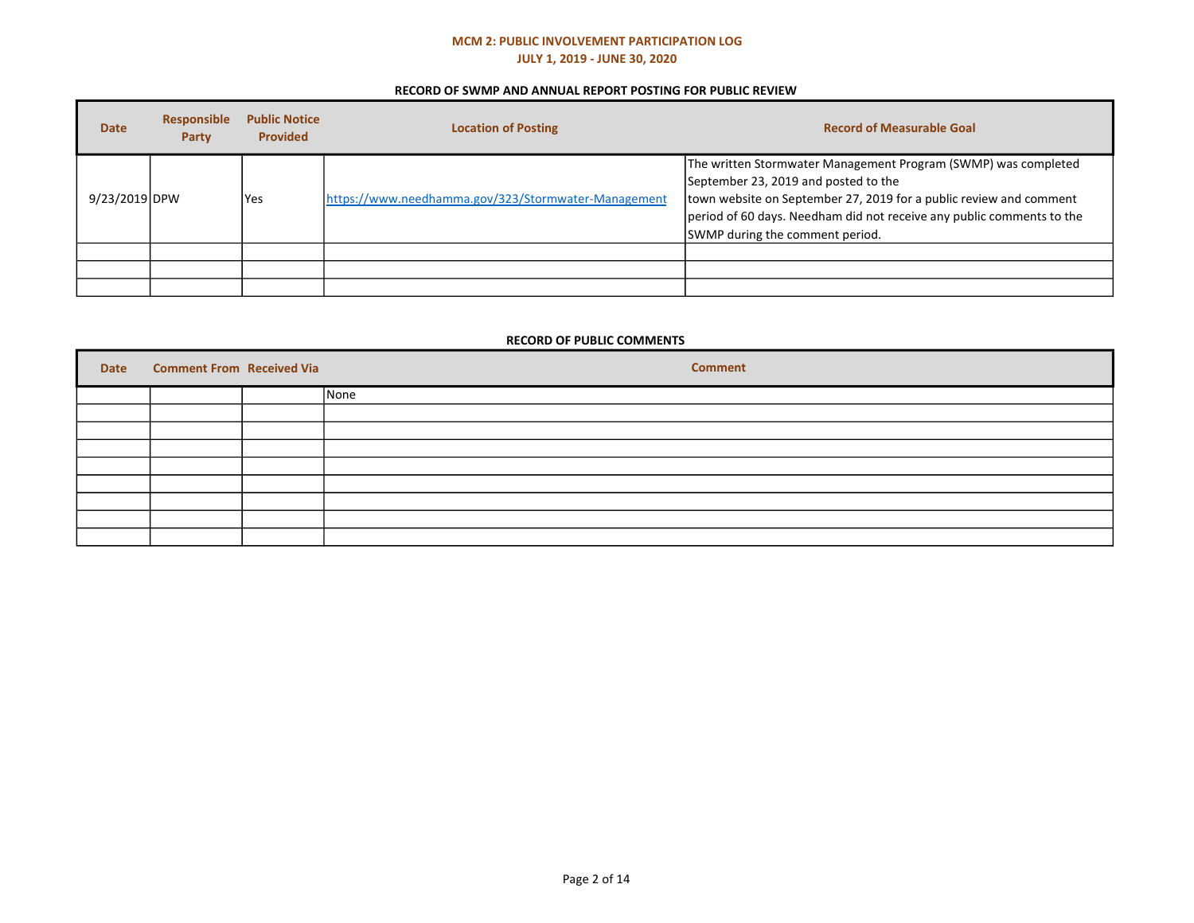## MCM 2: PUBLIC INVOLVEMENT PARTICIPATION LOG JULY 1, 2019 - JUNE 30, 2020

### RECORD OF SWMP AND ANNUAL REPORT POSTING FOR PUBLIC REVIEW

| <b>Date</b>   | <b>Responsible</b><br><b>Party</b> | <b>Public Notice</b><br><b>Provided</b> | <b>Location of Posting</b>                          | <b>Record of Measurable Goal</b>                                                                                                                                                                                                                                                         |
|---------------|------------------------------------|-----------------------------------------|-----------------------------------------------------|------------------------------------------------------------------------------------------------------------------------------------------------------------------------------------------------------------------------------------------------------------------------------------------|
| 9/23/2019 DPW |                                    | <b>Yes</b>                              | https://www.needhamma.gov/323/Stormwater-Management | The written Stormwater Management Program (SWMP) was completed<br>September 23, 2019 and posted to the<br>town website on September 27, 2019 for a public review and comment<br>period of 60 days. Needham did not receive any public comments to the<br>SWMP during the comment period. |
|               |                                    |                                         |                                                     |                                                                                                                                                                                                                                                                                          |
|               |                                    |                                         |                                                     |                                                                                                                                                                                                                                                                                          |
|               |                                    |                                         |                                                     |                                                                                                                                                                                                                                                                                          |

### RECORD OF PUBLIC COMMENTS

| Date | <b>Comment From Received Via</b> | <b>Comment</b> |
|------|----------------------------------|----------------|
|      |                                  | None           |
|      |                                  |                |
|      |                                  |                |
|      |                                  |                |
|      |                                  |                |
|      |                                  |                |
|      |                                  |                |
|      |                                  |                |
|      |                                  |                |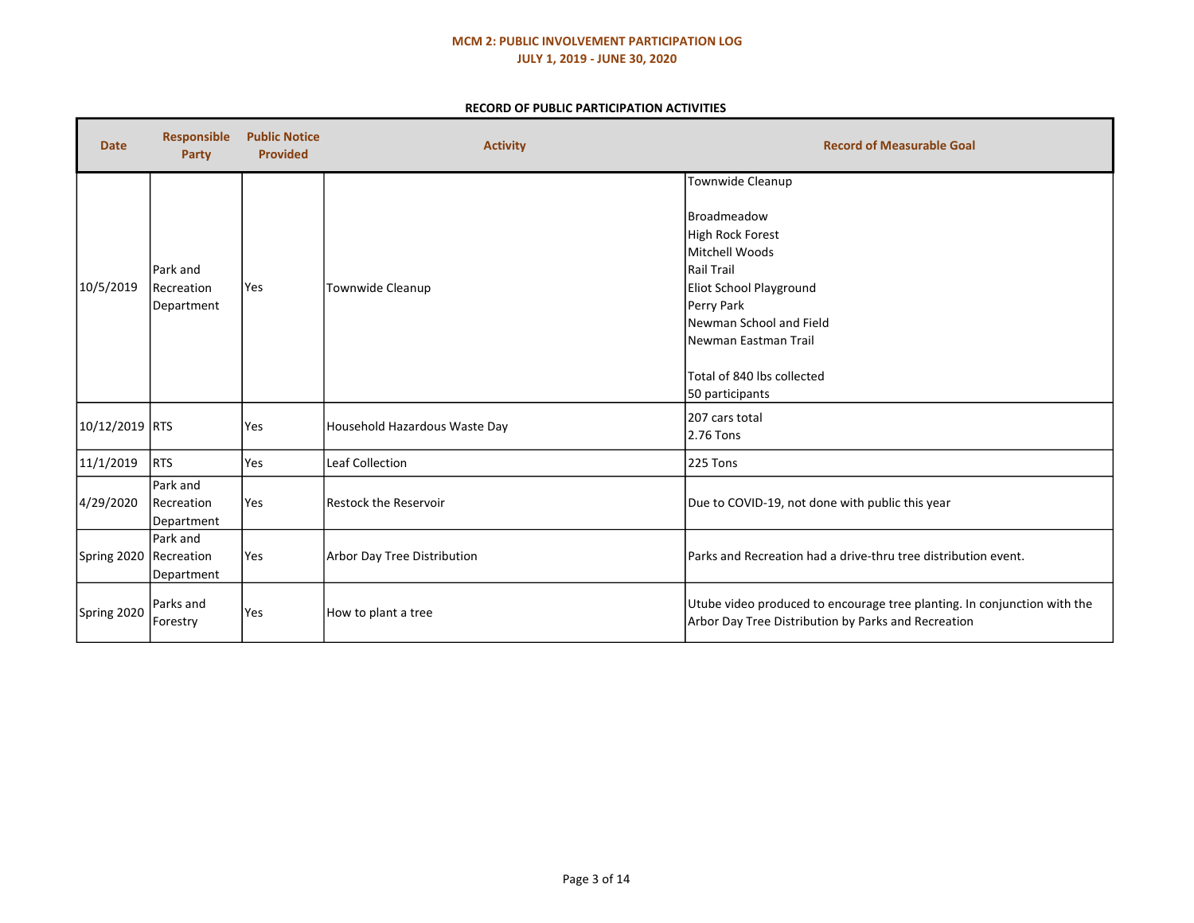## MCM 2: PUBLIC INVOLVEMENT PARTICIPATION LOG JULY 1, 2019 - JUNE 30, 2020

### RECORD OF PUBLIC PARTICIPATION ACTIVITIES

| <b>Date</b>    | <b>Responsible</b><br><b>Party</b>   | <b>Public Notice</b><br><b>Provided</b> | <b>Activity</b>               | <b>Record of Measurable Goal</b>                                                                                                                                                                                                         |
|----------------|--------------------------------------|-----------------------------------------|-------------------------------|------------------------------------------------------------------------------------------------------------------------------------------------------------------------------------------------------------------------------------------|
| 10/5/2019      | Park and<br>Recreation<br>Department | Yes                                     | Townwide Cleanup              | Townwide Cleanup<br><b>Broadmeadow</b><br>High Rock Forest<br>Mitchell Woods<br>Rail Trail<br>Eliot School Playground<br>Perry Park<br>Newman School and Field<br> Newman Eastman Trail<br>Total of 840 lbs collected<br>50 participants |
| 10/12/2019 RTS |                                      | Yes                                     | Household Hazardous Waste Day | 207 cars total<br>2.76 Tons                                                                                                                                                                                                              |
| 11/1/2019      | RTS                                  | Yes                                     | <b>Leaf Collection</b>        | 225 Tons                                                                                                                                                                                                                                 |
| 4/29/2020      | Park and<br>Recreation<br>Department | Yes                                     | Restock the Reservoir         | Due to COVID-19, not done with public this year                                                                                                                                                                                          |
| Spring 2020    | Park and<br>Recreation<br>Department | Yes                                     | Arbor Day Tree Distribution   | Parks and Recreation had a drive-thru tree distribution event.                                                                                                                                                                           |
| Spring 2020    | Parks and<br>Forestry                | Yes                                     | How to plant a tree           | Utube video produced to encourage tree planting. In conjunction with the<br>Arbor Day Tree Distribution by Parks and Recreation                                                                                                          |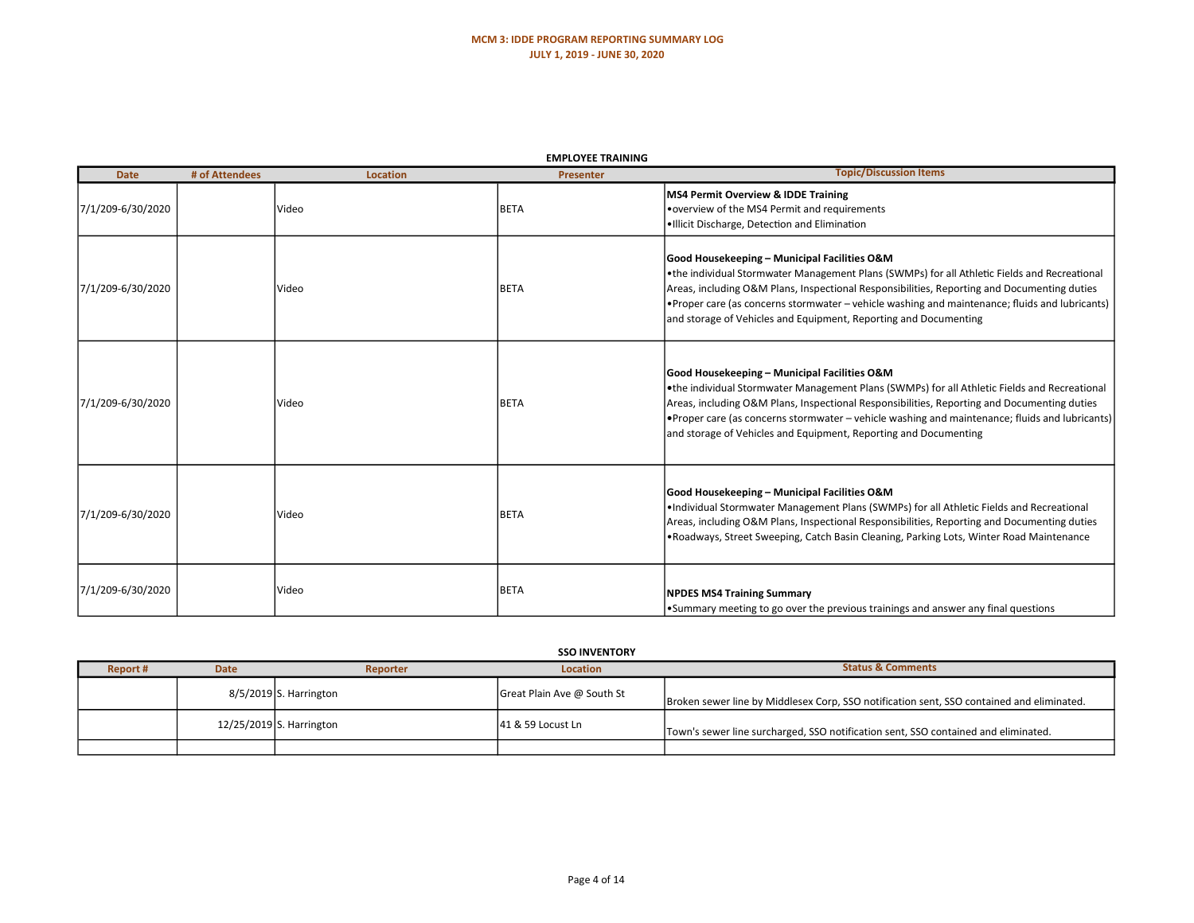|                   | <b>EMPLOYEE TRAINING</b> |          |                  |                                                                                                                                                                                                                                                                                                                                                                                                                     |  |  |  |
|-------------------|--------------------------|----------|------------------|---------------------------------------------------------------------------------------------------------------------------------------------------------------------------------------------------------------------------------------------------------------------------------------------------------------------------------------------------------------------------------------------------------------------|--|--|--|
| <b>Date</b>       | # of Attendees           | Location | <b>Presenter</b> | <b>Topic/Discussion Items</b>                                                                                                                                                                                                                                                                                                                                                                                       |  |  |  |
| 7/1/209-6/30/2020 |                          | Video    | <b>BETA</b>      | <b>MS4 Permit Overview &amp; IDDE Training</b><br>• overview of the MS4 Permit and requirements<br>.Illicit Discharge, Detection and Elimination                                                                                                                                                                                                                                                                    |  |  |  |
| 7/1/209-6/30/2020 |                          | Video    | <b>BETA</b>      | Good Housekeeping - Municipal Facilities O&M<br>•the individual Stormwater Management Plans (SWMPs) for all Athletic Fields and Recreational<br>Areas, including O&M Plans, Inspectional Responsibilities, Reporting and Documenting duties<br>• Proper care (as concerns stormwater – vehicle washing and maintenance; fluids and lubricants)<br>and storage of Vehicles and Equipment, Reporting and Documenting  |  |  |  |
| 7/1/209-6/30/2020 |                          | Video    | <b>BETA</b>      | Good Housekeeping - Municipal Facilities O&M<br>. the individual Stormwater Management Plans (SWMPs) for all Athletic Fields and Recreational<br>Areas, including O&M Plans, Inspectional Responsibilities, Reporting and Documenting duties<br>• Proper care (as concerns stormwater – vehicle washing and maintenance; fluids and lubricants)<br>and storage of Vehicles and Equipment, Reporting and Documenting |  |  |  |
| 7/1/209-6/30/2020 |                          | Video    | <b>BETA</b>      | Good Housekeeping - Municipal Facilities O&M<br>•Individual Stormwater Management Plans (SWMPs) for all Athletic Fields and Recreational<br>Areas, including O&M Plans, Inspectional Responsibilities, Reporting and Documenting duties<br>.Roadways, Street Sweeping, Catch Basin Cleaning, Parking Lots, Winter Road Maintenance                                                                                  |  |  |  |
| 7/1/209-6/30/2020 |                          | Video    | <b>BETA</b>      | <b>NPDES MS4 Training Summary</b><br>. Summary meeting to go over the previous trainings and answer any final questions                                                                                                                                                                                                                                                                                             |  |  |  |

#### **SSO INVENTORY**

| Report # | <b>Date</b> | Reporter                 | Location                   | <b>Status &amp; Comments</b>                                                              |
|----------|-------------|--------------------------|----------------------------|-------------------------------------------------------------------------------------------|
|          |             | $8/5/2019$ S. Harrington | Great Plain Ave @ South St | Broken sewer line by Middlesex Corp, SSO notification sent, SSO contained and eliminated. |
|          |             | 12/25/2019 S. Harrington | 141 & 59 Locust Ln         | Town's sewer line surcharged, SSO notification sent, SSO contained and eliminated.        |
|          |             |                          |                            |                                                                                           |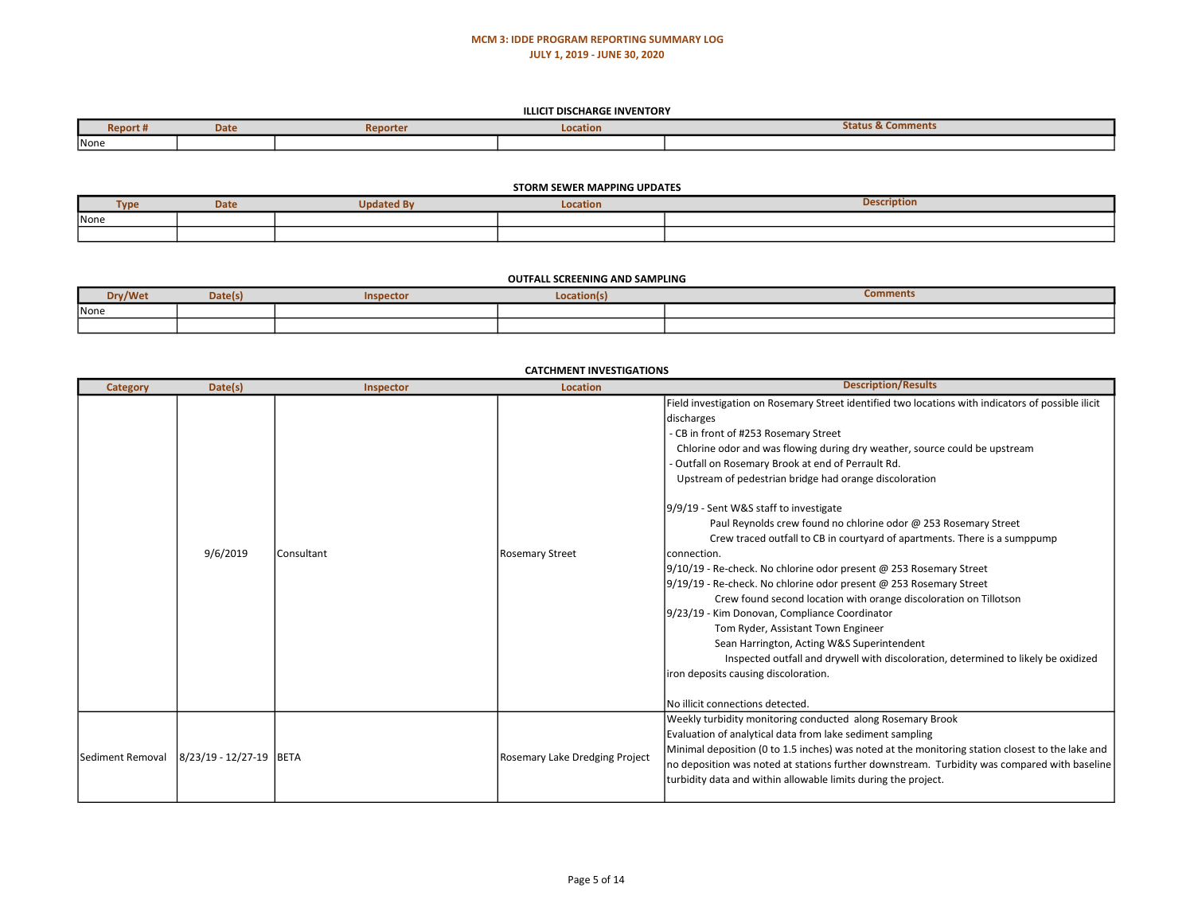#### ILLICIT DISCHARGE INVENTORY

| <b>Report #</b> | <b>Date</b> | Reporter | Location | Status & Comments |
|-----------------|-------------|----------|----------|-------------------|
| None            |             |          |          |                   |

#### STORM SEWER MAPPING UPDATES

| <b>Contract Contract</b> | <b>Date</b> | . .<br>dated Bv | <b>Location</b> | <b>Description</b> |
|--------------------------|-------------|-----------------|-----------------|--------------------|
| None                     |             |                 |                 |                    |
|                          |             |                 |                 |                    |

### OUTFALL SCREENING AND SAMPLING

| v/Wet | valcis | Inspector | cation(s | tomment:<br>----------- |
|-------|--------|-----------|----------|-------------------------|
| None  |        |           |          |                         |
|       |        |           |          |                         |

| <b>Category</b>  | Date(s)                 | Inspector  | catchivier investigation.<br><b>Location</b> | <b>Description/Results</b>                                                                                                                                                                                                                                                                                                                                                                                                                                                                                                                                                                                                                                                                                                                                                                                                                                                                                                                                                                                                                                                               |
|------------------|-------------------------|------------|----------------------------------------------|------------------------------------------------------------------------------------------------------------------------------------------------------------------------------------------------------------------------------------------------------------------------------------------------------------------------------------------------------------------------------------------------------------------------------------------------------------------------------------------------------------------------------------------------------------------------------------------------------------------------------------------------------------------------------------------------------------------------------------------------------------------------------------------------------------------------------------------------------------------------------------------------------------------------------------------------------------------------------------------------------------------------------------------------------------------------------------------|
|                  | 9/6/2019                | Consultant | Rosemary Street                              | Field investigation on Rosemary Street identified two locations with indicators of possible ilicit<br>discharges<br>- CB in front of #253 Rosemary Street<br>Chlorine odor and was flowing during dry weather, source could be upstream<br>- Outfall on Rosemary Brook at end of Perrault Rd.<br>Upstream of pedestrian bridge had orange discoloration<br>9/9/19 - Sent W&S staff to investigate<br>Paul Reynolds crew found no chlorine odor @ 253 Rosemary Street<br>Crew traced outfall to CB in courtyard of apartments. There is a sumppump<br>connection.<br>9/10/19 - Re-check. No chlorine odor present @ 253 Rosemary Street<br>9/19/19 - Re-check. No chlorine odor present @ 253 Rosemary Street<br>Crew found second location with orange discoloration on Tillotson<br>9/23/19 - Kim Donovan, Compliance Coordinator<br>Tom Ryder, Assistant Town Engineer<br>Sean Harrington, Acting W&S Superintendent<br>Inspected outfall and drywell with discoloration, determined to likely be oxidized<br>iron deposits causing discoloration.<br>No illicit connections detected. |
| Sediment Removal | 8/23/19 - 12/27-19 BETA |            | Rosemary Lake Dredging Project               | Weekly turbidity monitoring conducted along Rosemary Brook<br>Evaluation of analytical data from lake sediment sampling<br>Minimal deposition (0 to 1.5 inches) was noted at the monitoring station closest to the lake and<br>no deposition was noted at stations further downstream. Turbidity was compared with baseline<br>turbidity data and within allowable limits during the project.                                                                                                                                                                                                                                                                                                                                                                                                                                                                                                                                                                                                                                                                                            |

### CATCHMENT INVESTIGATIONS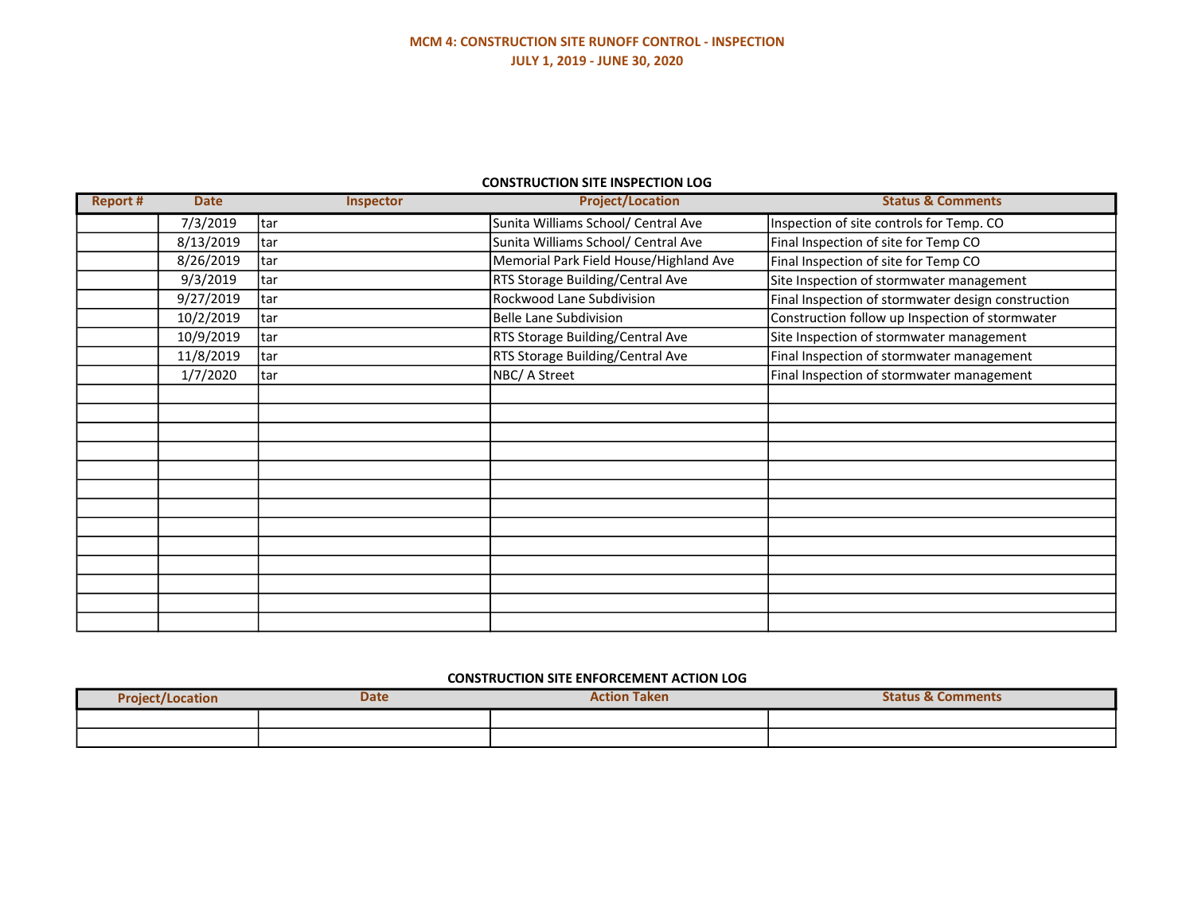## MCM 4: CONSTRUCTION SITE RUNOFF CONTROL - INSPECTION JULY 1, 2019 - JUNE 30, 2020

### CONSTRUCTION SITE INSPECTION LOG

| <b>Report #</b> | <b>Date</b> | <b>Inspector</b> | <b>Project/Location</b>                | <b>Status &amp; Comments</b>                       |
|-----------------|-------------|------------------|----------------------------------------|----------------------------------------------------|
|                 | 7/3/2019    | tar              | Sunita Williams School/ Central Ave    | Inspection of site controls for Temp. CO           |
|                 | 8/13/2019   | tar              | Sunita Williams School/ Central Ave    | Final Inspection of site for Temp CO               |
|                 | 8/26/2019   | tar              | Memorial Park Field House/Highland Ave | Final Inspection of site for Temp CO               |
|                 | 9/3/2019    | tar              | RTS Storage Building/Central Ave       | Site Inspection of stormwater management           |
|                 | 9/27/2019   | tar              | Rockwood Lane Subdivision              | Final Inspection of stormwater design construction |
|                 | 10/2/2019   | tar              | <b>Belle Lane Subdivision</b>          | Construction follow up Inspection of stormwater    |
|                 | 10/9/2019   | ltar             | RTS Storage Building/Central Ave       | Site Inspection of stormwater management           |
|                 | 11/8/2019   | tar              | RTS Storage Building/Central Ave       | Final Inspection of stormwater management          |
|                 | 1/7/2020    | tar              | NBC/ A Street                          | Final Inspection of stormwater management          |
|                 |             |                  |                                        |                                                    |
|                 |             |                  |                                        |                                                    |
|                 |             |                  |                                        |                                                    |
|                 |             |                  |                                        |                                                    |
|                 |             |                  |                                        |                                                    |
|                 |             |                  |                                        |                                                    |
|                 |             |                  |                                        |                                                    |
|                 |             |                  |                                        |                                                    |
|                 |             |                  |                                        |                                                    |
|                 |             |                  |                                        |                                                    |
|                 |             |                  |                                        |                                                    |
|                 |             |                  |                                        |                                                    |
|                 |             |                  |                                        |                                                    |

## CONSTRUCTION SITE ENFORCEMENT ACTION LOG

| <b>Pro</b><br><b>Niect/Location</b> | <b>Date</b> | $-$<br><b>Taken</b><br><b>Action</b> | Status &<br><b>Comments</b> |
|-------------------------------------|-------------|--------------------------------------|-----------------------------|
|                                     |             |                                      |                             |
|                                     |             |                                      |                             |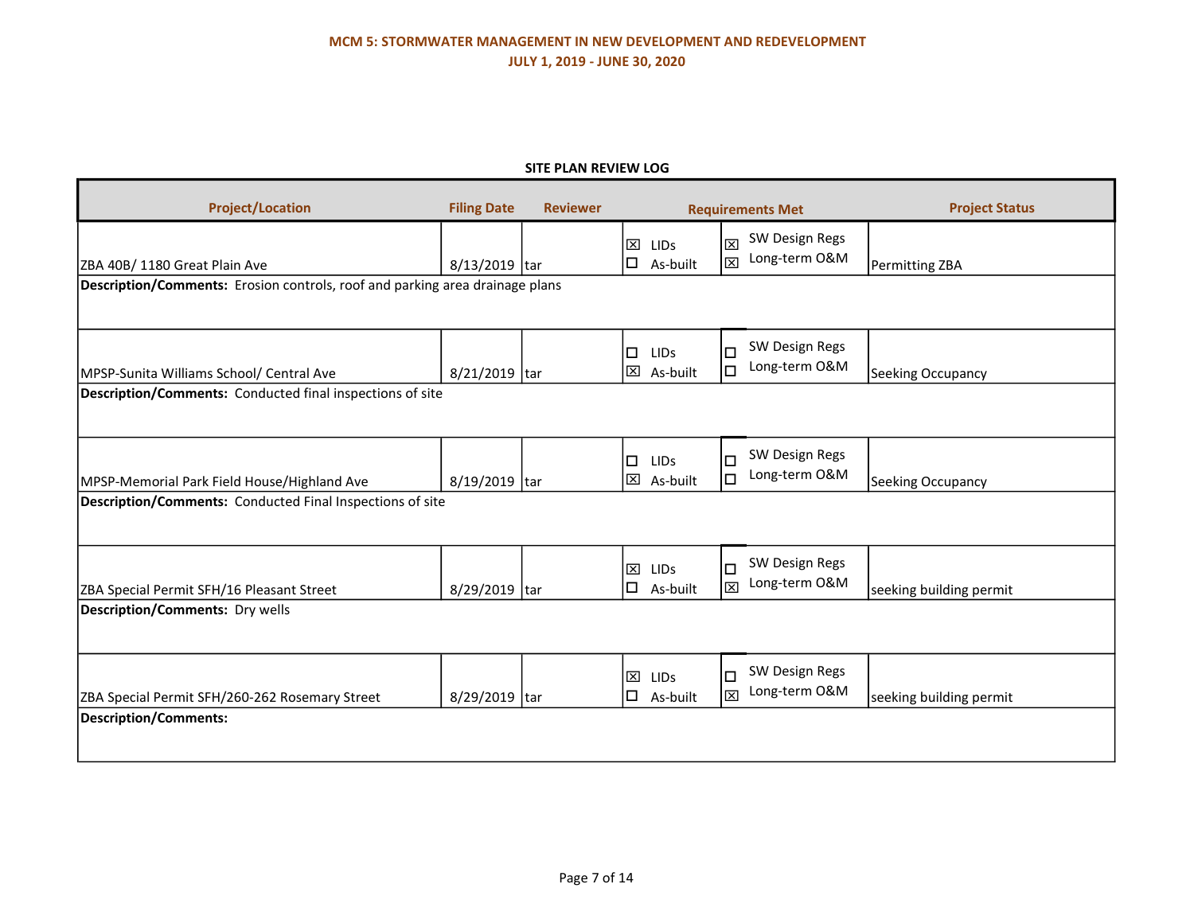# MCM 5: STORMWATER MANAGEMENT IN NEW DEVELOPMENT AND REDEVELOPMENT JULY 1, 2019 - JUNE 30, 2020

### SITE PLAN REVIEW LOG

| <b>Project/Location</b>                                                      | <b>Filing Date</b> | <b>Reviewer</b> | <b>Requirements Met</b>                           |                                                 | <b>Project Status</b>   |
|------------------------------------------------------------------------------|--------------------|-----------------|---------------------------------------------------|-------------------------------------------------|-------------------------|
| ZBA 40B/1180 Great Plain Ave                                                 | 8/13/2019 tar      |                 | $\mathbf{x}$<br><b>LIDs</b><br>$\Box$<br>As-built | SW Design Regs<br>図<br>Long-term O&M<br>l⊠      | Permitting ZBA          |
| Description/Comments: Erosion controls, roof and parking area drainage plans |                    |                 |                                                   |                                                 |                         |
| MPSP-Sunita Williams School/ Central Ave                                     | 8/21/2019 tar      |                 | $\Box$<br><b>LIDs</b><br>$\boxtimes$ As-built     | SW Design Regs<br>$\Box$<br>Long-term O&M<br>lа | Seeking Occupancy       |
| Description/Comments: Conducted final inspections of site                    |                    |                 |                                                   |                                                 |                         |
| MPSP-Memorial Park Field House/Highland Ave                                  | 8/19/2019 tar      |                 | $\Box$<br>LIDs<br>区 As-built                      | SW Design Regs<br>$\Box$<br>Long-term O&M<br>lа | Seeking Occupancy       |
| Description/Comments: Conducted Final Inspections of site                    |                    |                 |                                                   |                                                 |                         |
| ZBA Special Permit SFH/16 Pleasant Street                                    | 8/29/2019 tar      |                 | $\mathbf{x}$<br>LIDS<br>$\Box$<br>As-built        | SW Design Regs<br>$\Box$<br>Long-term O&M<br>l⊠ | seeking building permit |
| <b>Description/Comments: Dry wells</b>                                       |                    |                 |                                                   |                                                 |                         |
| ZBA Special Permit SFH/260-262 Rosemary Street                               | 8/29/2019 tar      |                 | $\boxtimes$<br>LIDs<br>$\square$ As-built         | SW Design Regs<br>$\Box$<br>Long-term O&M<br>l⊠ | seeking building permit |
| <b>Description/Comments:</b>                                                 |                    |                 |                                                   |                                                 |                         |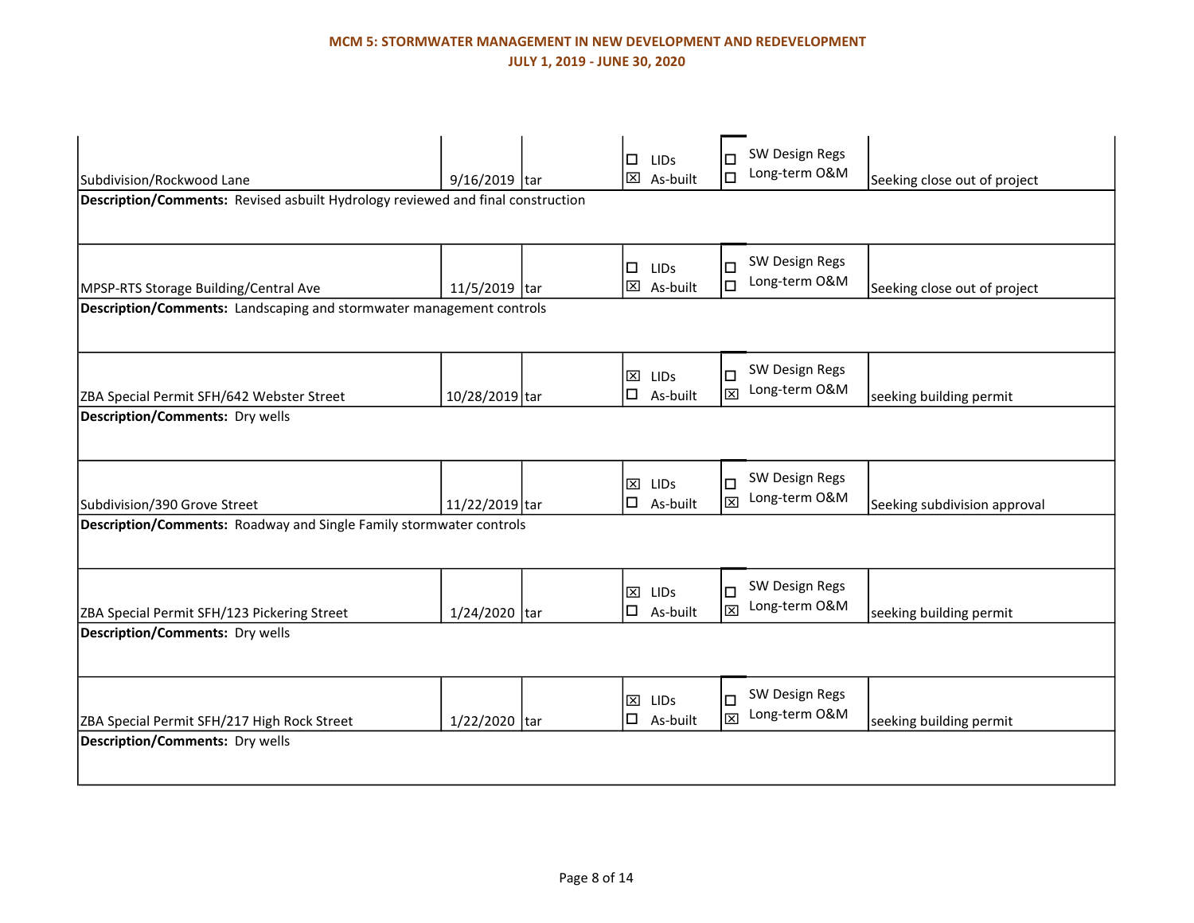# MCM 5: STORMWATER MANAGEMENT IN NEW DEVELOPMENT AND REDEVELOPMENT JULY 1, 2019 - JUNE 30, 2020

|                                                                                       |                                                                                 |  | □<br><b>LIDS</b>                              | SW Design Regs<br>П<br>Long-term O&M |                              |  |  |  |
|---------------------------------------------------------------------------------------|---------------------------------------------------------------------------------|--|-----------------------------------------------|--------------------------------------|------------------------------|--|--|--|
| Subdivision/Rockwood Lane                                                             | 9/16/2019 tar                                                                   |  | $\boxtimes$ As-built                          | $\Box$                               | Seeking close out of project |  |  |  |
|                                                                                       | Description/Comments: Revised asbuilt Hydrology reviewed and final construction |  |                                               |                                      |                              |  |  |  |
|                                                                                       |                                                                                 |  |                                               |                                      |                              |  |  |  |
|                                                                                       |                                                                                 |  | $\Box$<br><b>LIDS</b>                         | SW Design Regs<br>□                  |                              |  |  |  |
| MPSP-RTS Storage Building/Central Ave                                                 | 11/5/2019 tar                                                                   |  | 区 As-built                                    | Long-term O&M<br>Iа                  | Seeking close out of project |  |  |  |
| <b>Description/Comments:</b> Landscaping and stormwater management controls           |                                                                                 |  |                                               |                                      |                              |  |  |  |
|                                                                                       |                                                                                 |  |                                               |                                      |                              |  |  |  |
|                                                                                       |                                                                                 |  | $\mathbf{x}$<br>LIDS                          | SW Design Regs<br>$\Box$             |                              |  |  |  |
| ZBA Special Permit SFH/642 Webster Street                                             | 10/28/2019 tar                                                                  |  | $\square$ As-built                            | Long-term O&M<br>図                   | seeking building permit      |  |  |  |
| <b>Description/Comments: Dry wells</b>                                                |                                                                                 |  |                                               |                                      |                              |  |  |  |
|                                                                                       |                                                                                 |  |                                               |                                      |                              |  |  |  |
|                                                                                       |                                                                                 |  | $\mathbf{\overline{X}}$<br>LIDS               | SW Design Regs<br>$\Box$             |                              |  |  |  |
| Subdivision/390 Grove Street                                                          | $11/22/2019$ tar                                                                |  | $\square$ As-built                            | Long-term O&M<br>図                   | Seeking subdivision approval |  |  |  |
| <b>Description/Comments:</b> Roadway and Single Family stormwater controls            |                                                                                 |  |                                               |                                      |                              |  |  |  |
|                                                                                       |                                                                                 |  |                                               |                                      |                              |  |  |  |
|                                                                                       |                                                                                 |  | 図<br><b>LIDS</b>                              | SW Design Regs<br>$\Box$             |                              |  |  |  |
| ZBA Special Permit SFH/123 Pickering Street                                           | 1/24/2020 tar                                                                   |  | $\Box$ As-built                               | Long-term O&M<br>図                   | seeking building permit      |  |  |  |
| <b>Description/Comments: Dry wells</b>                                                |                                                                                 |  |                                               |                                      |                              |  |  |  |
|                                                                                       |                                                                                 |  |                                               |                                      |                              |  |  |  |
|                                                                                       |                                                                                 |  |                                               | SW Design Regs                       |                              |  |  |  |
|                                                                                       | 1/22/2020 tar                                                                   |  | $\boxtimes$<br><b>LIDs</b><br>$\Box$ As-built | $\Box$<br>Long-term O&M<br>図         | seeking building permit      |  |  |  |
| ZBA Special Permit SFH/217 High Rock Street<br><b>Description/Comments: Dry wells</b> |                                                                                 |  |                                               |                                      |                              |  |  |  |
|                                                                                       |                                                                                 |  |                                               |                                      |                              |  |  |  |
|                                                                                       |                                                                                 |  |                                               |                                      |                              |  |  |  |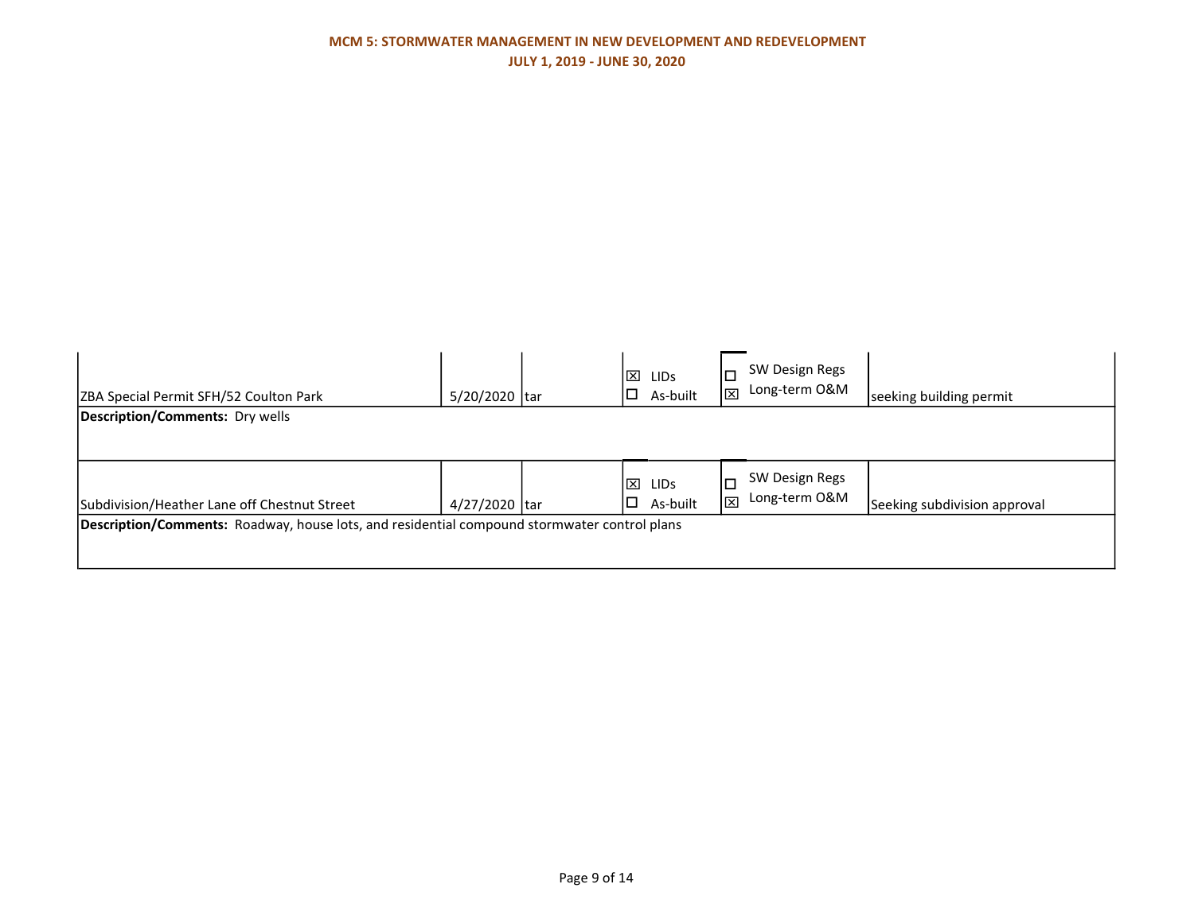| ZBA Special Permit SFH/52 Coulton Park                                                       | 5/20/2020 tar |  | ×<br>▯◻ | <b>LIDS</b><br>As-built | $\Box$<br>$\boxtimes$ | SW Design Regs<br>Long-term O&M | seeking building permit      |
|----------------------------------------------------------------------------------------------|---------------|--|---------|-------------------------|-----------------------|---------------------------------|------------------------------|
| Description/Comments: Dry wells                                                              |               |  |         |                         |                       |                                 |                              |
|                                                                                              |               |  |         |                         |                       |                                 |                              |
| Subdivision/Heather Lane off Chestnut Street                                                 | 4/27/2020 tar |  | ×<br>∣□ | <b>LIDS</b><br>As-built | I⊠                    | SW Design Regs<br>Long-term O&M | Seeking subdivision approval |
| Description/Comments: Roadway, house lots, and residential compound stormwater control plans |               |  |         |                         |                       |                                 |                              |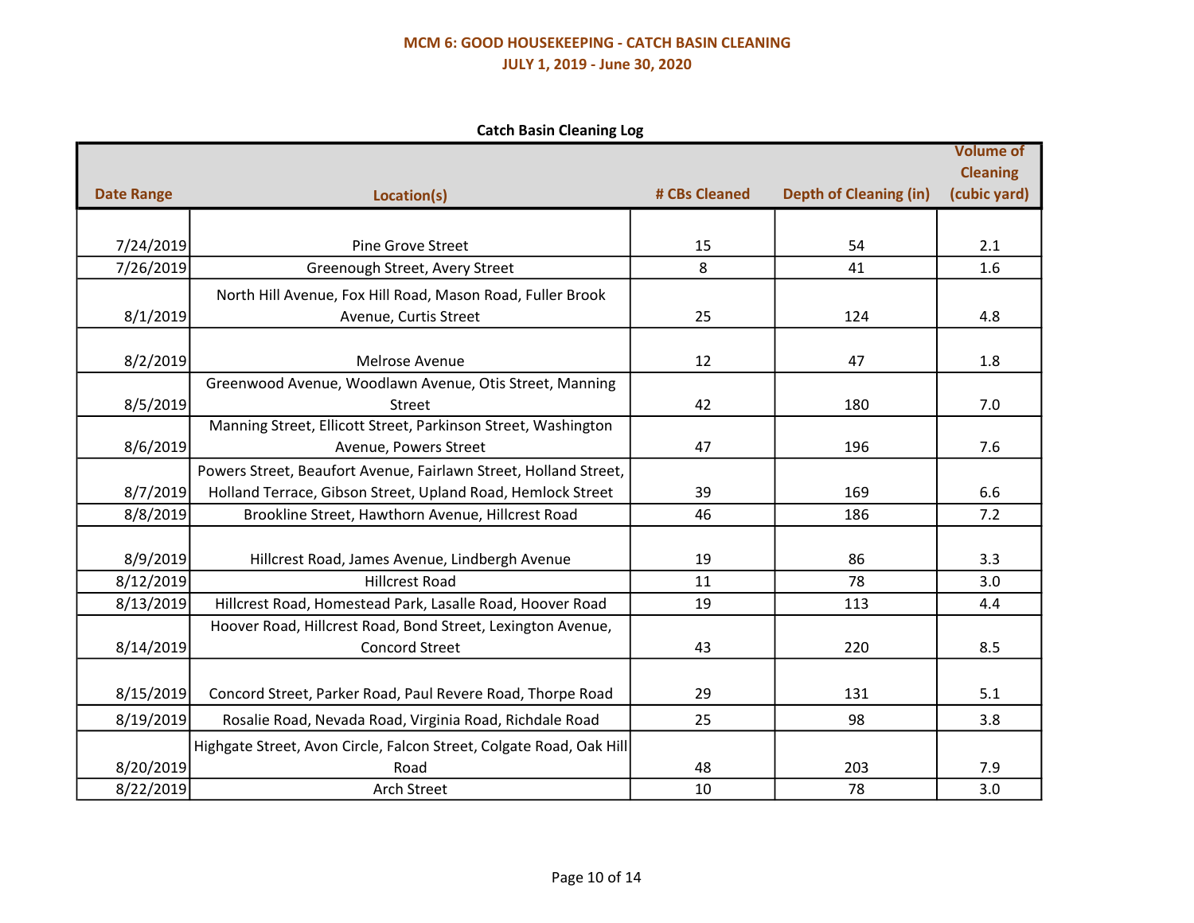# MCM 6: GOOD HOUSEKEEPING - CATCH BASIN CLEANING JULY 1, 2019 - June 30, 2020

Catch Basin Cleaning Log

|                   |                                                                                                                                 |               |                               | <b>Volume of</b>                |
|-------------------|---------------------------------------------------------------------------------------------------------------------------------|---------------|-------------------------------|---------------------------------|
| <b>Date Range</b> | Location(s)                                                                                                                     | # CBs Cleaned | <b>Depth of Cleaning (in)</b> | <b>Cleaning</b><br>(cubic yard) |
|                   |                                                                                                                                 |               |                               |                                 |
|                   |                                                                                                                                 |               |                               |                                 |
| 7/24/2019         | <b>Pine Grove Street</b>                                                                                                        | 15            | 54                            | 2.1                             |
| 7/26/2019         | Greenough Street, Avery Street                                                                                                  | 8             | 41                            | 1.6                             |
|                   | North Hill Avenue, Fox Hill Road, Mason Road, Fuller Brook                                                                      |               |                               |                                 |
| 8/1/2019          | Avenue, Curtis Street                                                                                                           | 25            | 124                           | 4.8                             |
|                   |                                                                                                                                 |               |                               |                                 |
| 8/2/2019          | Melrose Avenue                                                                                                                  | 12            | 47                            | 1.8                             |
|                   | Greenwood Avenue, Woodlawn Avenue, Otis Street, Manning                                                                         | 42            | 180                           |                                 |
| 8/5/2019          | Street<br>Manning Street, Ellicott Street, Parkinson Street, Washington                                                         |               |                               | 7.0                             |
| 8/6/2019          | Avenue, Powers Street                                                                                                           | 47            | 196                           | 7.6                             |
|                   |                                                                                                                                 |               |                               |                                 |
| 8/7/2019          | Powers Street, Beaufort Avenue, Fairlawn Street, Holland Street,<br>Holland Terrace, Gibson Street, Upland Road, Hemlock Street | 39            | 169                           | 6.6                             |
|                   |                                                                                                                                 | 46            |                               | 7.2                             |
| 8/8/2019          | Brookline Street, Hawthorn Avenue, Hillcrest Road                                                                               |               | 186                           |                                 |
| 8/9/2019          | Hillcrest Road, James Avenue, Lindbergh Avenue                                                                                  | 19            | 86                            | 3.3                             |
| 8/12/2019         | <b>Hillcrest Road</b>                                                                                                           | 11            | 78                            | 3.0                             |
| 8/13/2019         | Hillcrest Road, Homestead Park, Lasalle Road, Hoover Road                                                                       | 19            | 113                           | 4.4                             |
|                   | Hoover Road, Hillcrest Road, Bond Street, Lexington Avenue,                                                                     |               |                               |                                 |
| 8/14/2019         | <b>Concord Street</b>                                                                                                           | 43            | 220                           | 8.5                             |
|                   |                                                                                                                                 |               |                               |                                 |
| 8/15/2019         | Concord Street, Parker Road, Paul Revere Road, Thorpe Road                                                                      | 29            | 131                           | 5.1                             |
| 8/19/2019         | Rosalie Road, Nevada Road, Virginia Road, Richdale Road                                                                         | 25            | 98                            | 3.8                             |
|                   | Highgate Street, Avon Circle, Falcon Street, Colgate Road, Oak Hill                                                             |               |                               |                                 |
| 8/20/2019         | Road                                                                                                                            | 48            | 203                           | 7.9                             |
| 8/22/2019         | Arch Street                                                                                                                     | 10            | 78                            | 3.0                             |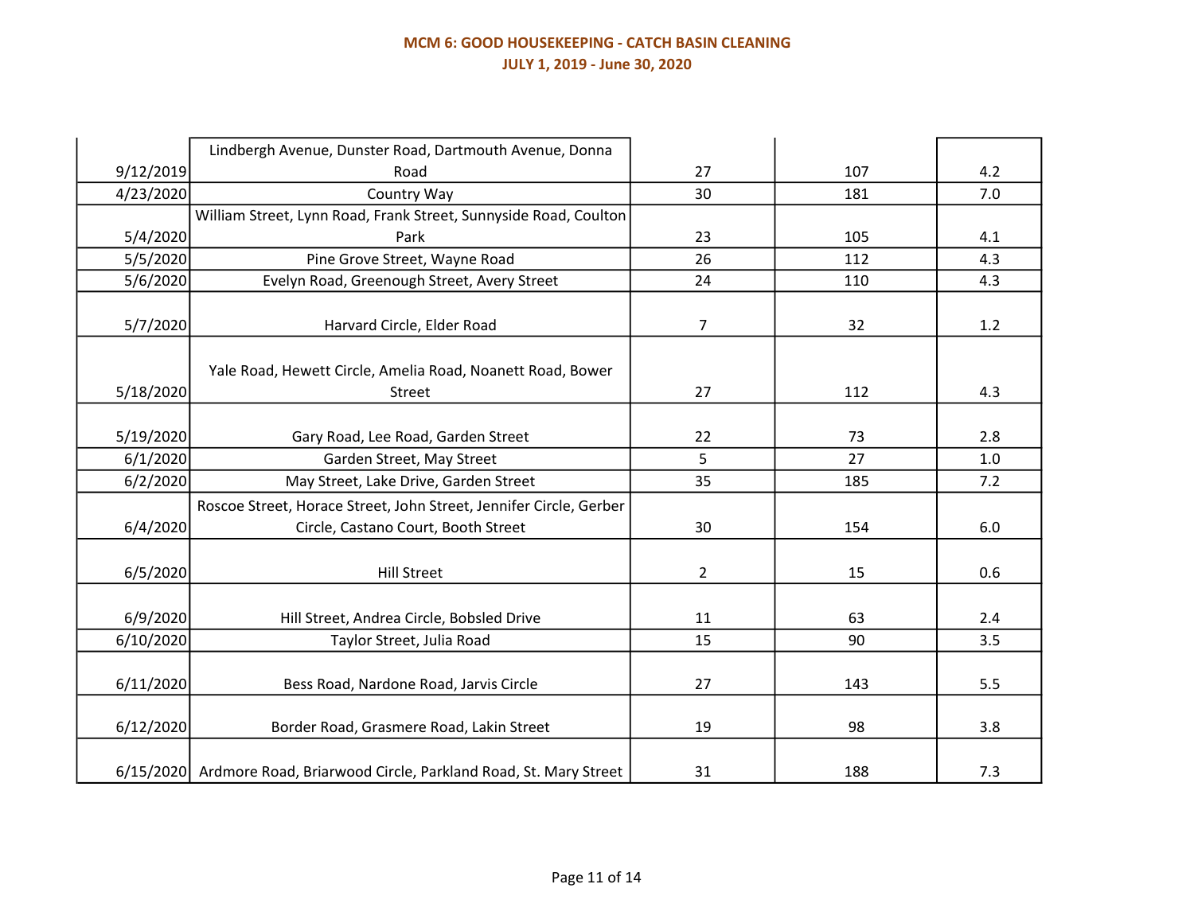# MCM 6: GOOD HOUSEKEEPING - CATCH BASIN CLEANING JULY 1, 2019 - June 30, 2020

|           | Lindbergh Avenue, Dunster Road, Dartmouth Avenue, Donna                  |                |     |     |
|-----------|--------------------------------------------------------------------------|----------------|-----|-----|
| 9/12/2019 | Road                                                                     | 27             | 107 | 4.2 |
| 4/23/2020 | Country Way                                                              | 30             | 181 | 7.0 |
|           | William Street, Lynn Road, Frank Street, Sunnyside Road, Coulton         |                |     |     |
| 5/4/2020  | Park                                                                     | 23             | 105 | 4.1 |
| 5/5/2020  | Pine Grove Street, Wayne Road                                            | 26             | 112 | 4.3 |
| 5/6/2020  | Evelyn Road, Greenough Street, Avery Street                              | 24             | 110 | 4.3 |
| 5/7/2020  | Harvard Circle, Elder Road                                               | $\overline{7}$ | 32  | 1.2 |
|           | Yale Road, Hewett Circle, Amelia Road, Noanett Road, Bower               |                |     |     |
| 5/18/2020 | Street                                                                   | 27             | 112 | 4.3 |
| 5/19/2020 | Gary Road, Lee Road, Garden Street                                       | 22             | 73  | 2.8 |
| 6/1/2020  | Garden Street, May Street                                                | 5              | 27  | 1.0 |
| 6/2/2020  | May Street, Lake Drive, Garden Street                                    | 35             | 185 | 7.2 |
|           | Roscoe Street, Horace Street, John Street, Jennifer Circle, Gerber       |                |     |     |
| 6/4/2020  | Circle, Castano Court, Booth Street                                      | 30             | 154 | 6.0 |
| 6/5/2020  | <b>Hill Street</b>                                                       | $\overline{2}$ | 15  | 0.6 |
| 6/9/2020  | Hill Street, Andrea Circle, Bobsled Drive                                | 11             | 63  | 2.4 |
| 6/10/2020 | Taylor Street, Julia Road                                                | 15             | 90  | 3.5 |
| 6/11/2020 | Bess Road, Nardone Road, Jarvis Circle                                   | 27             | 143 | 5.5 |
| 6/12/2020 | Border Road, Grasmere Road, Lakin Street                                 | 19             | 98  | 3.8 |
|           | 6/15/2020 Ardmore Road, Briarwood Circle, Parkland Road, St. Mary Street | 31             | 188 | 7.3 |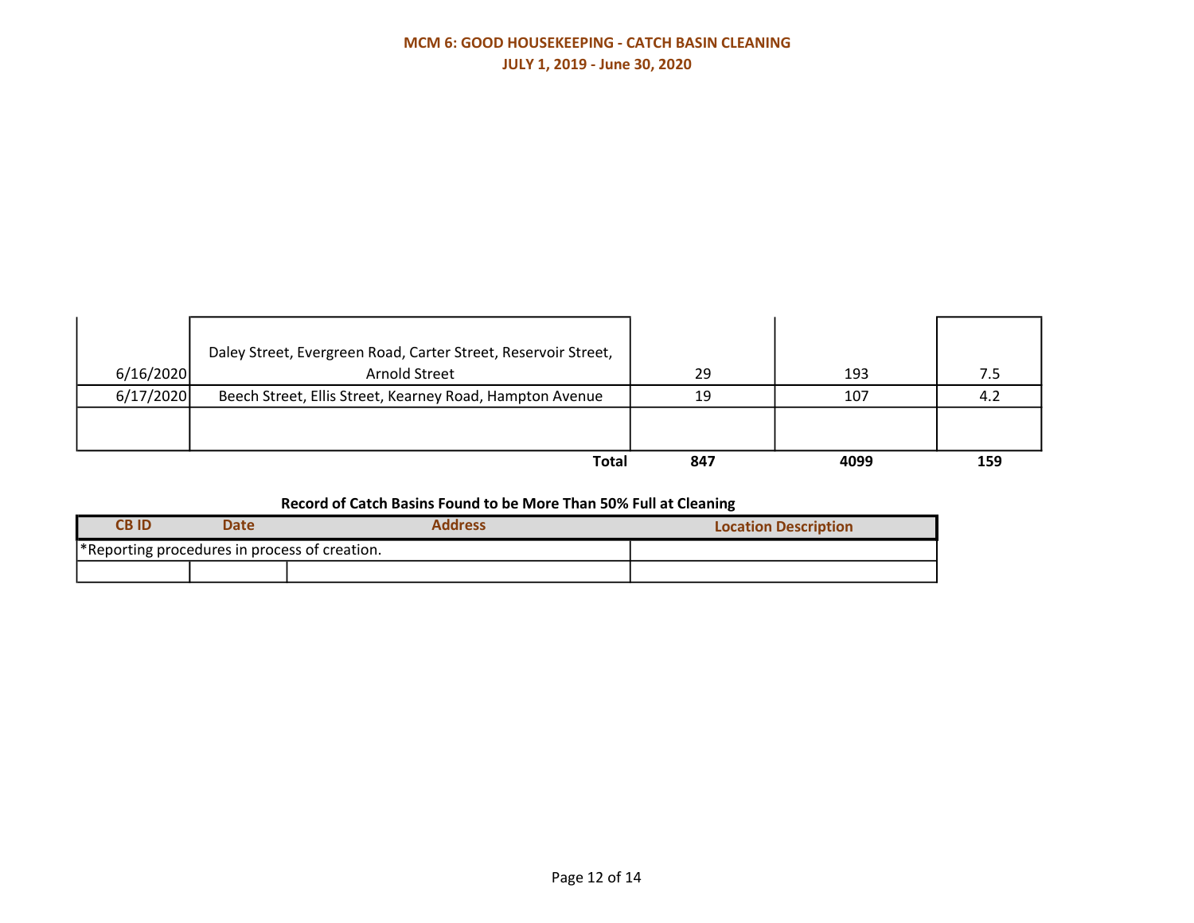# MCM 6: GOOD HOUSEKEEPING - CATCH BASIN CLEANING JULY 1, 2019 - June 30, 2020

| 6/16/2020 | Daley Street, Evergreen Road, Carter Street, Reservoir Street,<br>Arnold Street | 29  | 193  |     |
|-----------|---------------------------------------------------------------------------------|-----|------|-----|
| 6/17/2020 | Beech Street, Ellis Street, Kearney Road, Hampton Avenue                        | 19  | 107  | -4. |
|           |                                                                                 |     |      |     |
|           |                                                                                 |     |      |     |
|           | Total                                                                           | 847 | 4099 | 159 |

# Record of Catch Basins Found to be More Than 50% Full at Cleaning

| <b>CBID</b> | Date                                                      | Address | <b>Location Description</b> |
|-------------|-----------------------------------------------------------|---------|-----------------------------|
|             | <sup>*</sup> Reporting procedures in process of creation. |         |                             |
|             |                                                           |         |                             |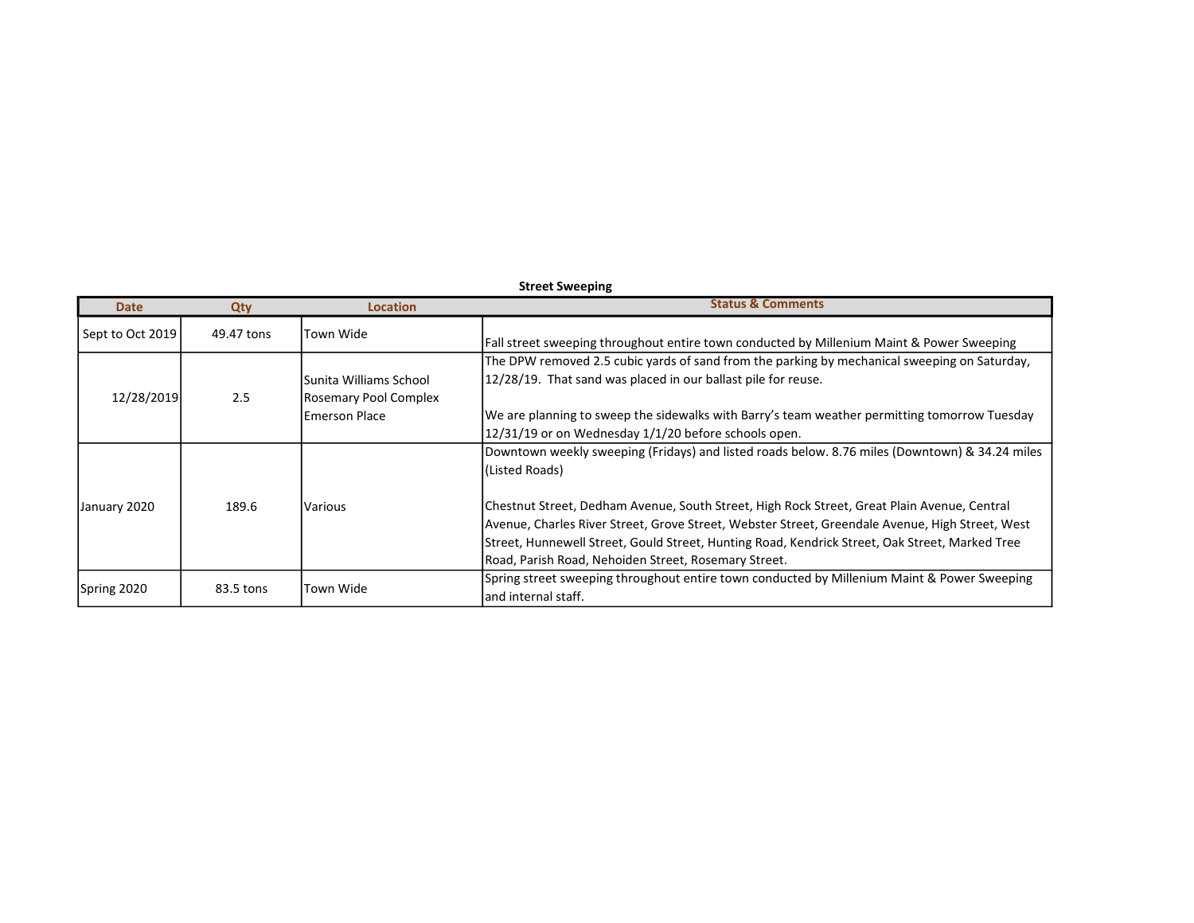| <b>Street Sweeping</b> |            |                                                  |                                                                                                                                                                                                                                                                                                                                                          |  |  |  |
|------------------------|------------|--------------------------------------------------|----------------------------------------------------------------------------------------------------------------------------------------------------------------------------------------------------------------------------------------------------------------------------------------------------------------------------------------------------------|--|--|--|
| <b>Date</b>            | Qty        | <b>Location</b>                                  | <b>Status &amp; Comments</b>                                                                                                                                                                                                                                                                                                                             |  |  |  |
| Sept to Oct 2019       | 49.47 tons | Town Wide                                        | Fall street sweeping throughout entire town conducted by Millenium Maint & Power Sweeping                                                                                                                                                                                                                                                                |  |  |  |
| 12/28/2019             | 2.5        | lSunita Williams School<br>Rosemary Pool Complex | The DPW removed 2.5 cubic yards of sand from the parking by mechanical sweeping on Saturday,<br>12/28/19. That sand was placed in our ballast pile for reuse.                                                                                                                                                                                            |  |  |  |
|                        |            | lEmerson Place                                   | We are planning to sweep the sidewalks with Barry's team weather permitting tomorrow Tuesday<br>12/31/19 or on Wednesday 1/1/20 before schools open.                                                                                                                                                                                                     |  |  |  |
|                        |            |                                                  | Downtown weekly sweeping (Fridays) and listed roads below. 8.76 miles (Downtown) & 34.24 miles<br>(Listed Roads)                                                                                                                                                                                                                                         |  |  |  |
| January 2020           | 189.6      | Various                                          | Chestnut Street, Dedham Avenue, South Street, High Rock Street, Great Plain Avenue, Central<br>Avenue, Charles River Street, Grove Street, Webster Street, Greendale Avenue, High Street, West<br>Street, Hunnewell Street, Gould Street, Hunting Road, Kendrick Street, Oak Street, Marked Tree<br>Road, Parish Road, Nehoiden Street, Rosemary Street. |  |  |  |
| Spring 2020            | 83.5 tons  | Town Wide                                        | Spring street sweeping throughout entire town conducted by Millenium Maint & Power Sweeping<br>land internal staff.                                                                                                                                                                                                                                      |  |  |  |